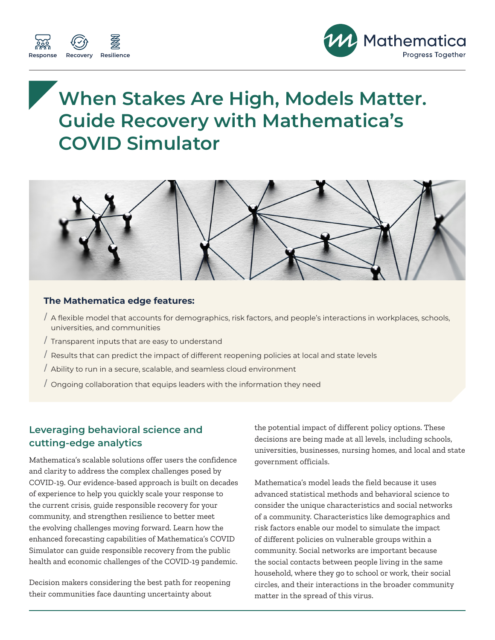



# **When Stakes Are High, Models Matter. Guide Recovery with Mathematica's COVID Simulator**



#### **The Mathematica edge features:**

- / A flexible model that accounts for demographics, risk factors, and people's interactions in workplaces, schools, universities, and communities
- / Transparent inputs that are easy to understand
- / Results that can predict the impact of different reopening policies at local and state levels
- / Ability to run in a secure, scalable, and seamless cloud environment
- / Ongoing collaboration that equips leaders with the information they need

### **Leveraging behavioral science and cutting-edge analytics**

Mathematica's scalable solutions offer users the confidence and clarity to address the complex challenges posed by COVID-19. Our evidence-based approach is built on decades of experience to help you quickly scale your response to the current crisis, guide responsible recovery for your community, and strengthen resilience to better meet the evolving challenges moving forward. Learn how the enhanced forecasting capabilities of Mathematica's COVID Simulator can guide responsible recovery from the public health and economic challenges of the COVID-19 pandemic.

Decision makers considering the best path for reopening their communities face daunting uncertainty about

the potential impact of different policy options. These decisions are being made at all levels, including schools, universities, businesses, nursing homes, and local and state government officials.

Mathematica's model leads the field because it uses advanced statistical methods and behavioral science to consider the unique characteristics and social networks of a community. Characteristics like demographics and risk factors enable our model to simulate the impact of different policies on vulnerable groups within a community. Social networks are important because the social contacts between people living in the same household, where they go to school or work, their social circles, and their interactions in the broader community matter in the spread of this virus.